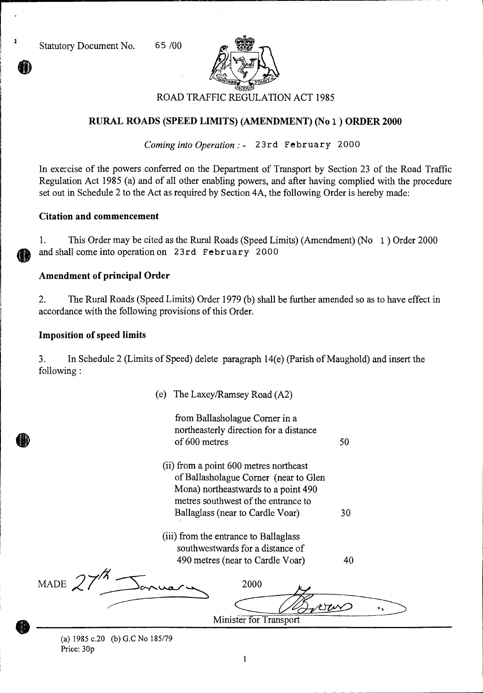

ROAD TRAFFIC REGULATION ACT 1985

## **RURAL ROADS (SPEED LIMITS) (AMENDMENT) (No 1 ) ORDER 2000**

*Coming into Operation : -* 23rd February 2000

In exercise of the powers conferred on the Department of Transport by Section 23 of the Road Traffic Regulation Act 1985 (a) and of all other enabling powers, and after having complied with the procedure set out in Schedule 2 to the Act as required by Section 4A, the following Order is hereby made:

#### **Citation and commencement**

1. This Order may be cited as the Rural Roads (Speed Limits) (Amendment) (No 1 ) Order 2000 and shall come into operation on 23rd February 2000

### **Amendment of principal Order**

2. The Rural Roads (Speed Limits) Order 1979 (b) shall be further amended so as to have effect in accordance with the following provisions of this Order.

### **Imposition of speed limits**

3. In Schedule 2 (Limits of Speed) delete paragraph 14(e) (Parish of Maughold) and insert the following :

(e) The Laxey/Ramsey Road (A2)

| from Ballasholague Corner in a<br>northeasterly direction for a distance<br>of 600 metres | 50 |
|-------------------------------------------------------------------------------------------|----|
|                                                                                           |    |
| (ii) from a point 600 metres northeast                                                    |    |
| of Ballasholague Corner (near to Glen                                                     |    |
| Mona) northeastwards to a point 490                                                       |    |
| metres southwest of the entrance to                                                       |    |
| Ballaglass (near to Cardle Voar)                                                          | 30 |
|                                                                                           |    |
| (iii) from the entrance to Ballaglass                                                     |    |
| southwestwards for a distance of                                                          |    |
| 490 metres (near to Cardle Voar)                                                          | 40 |
|                                                                                           |    |
| MADE $\swarrow$<br>2000                                                                   |    |
|                                                                                           |    |
| ' MM                                                                                      |    |
| Minister for Transport                                                                    |    |

(a) 1985 c.20 (b) G.C No 185/79 Price: 30p